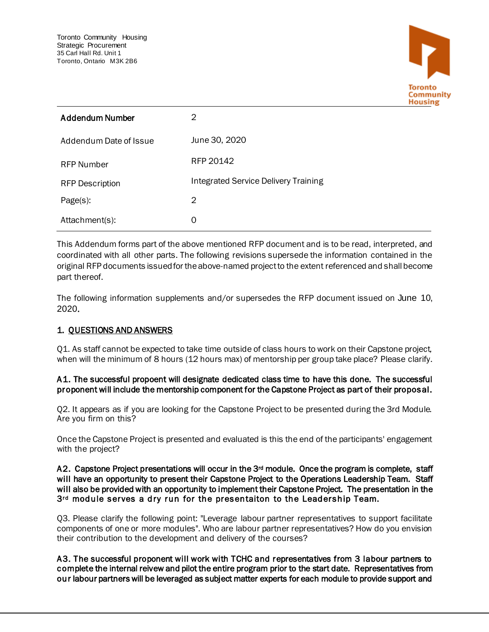

| <b>Addendum Number</b> | 2                                    |
|------------------------|--------------------------------------|
| Addendum Date of Issue | June 30, 2020                        |
| <b>RFP Number</b>      | RFP 20142                            |
| <b>RFP Description</b> | Integrated Service Delivery Training |
| $Page(s)$ :            | 2                                    |
| Attachment(s):         | 0                                    |

I This Addendum forms part of the above mentioned RFP document and is to be read, interpreted, and coordinated with all other parts. The following revisions supersede the information contained in the original RFP documents issued for the above-named project to the extent referenced and shall become part thereof.

The following information supplements and/or supersedes the RFP document issued on June 10, 2020.

## 1. QUESTIONS AND ANSWERS

Q1. As staff cannot be expected to take time outside of class hours to work on their Capstone project, when will the minimum of 8 hours (12 hours max) of mentorship per group take place? Please clarify.

## A1. The successful propoent will designate dedicated class time to have this done. The successful proponent will include the mentorship component for the Capstone Project as part of their proposal.

Q2. It appears as if you are looking for the Capstone Project to be presented during the 3rd Module. Are you firm on this?

Once the Capstone Project is presented and evaluated is this the end of the participants' engagement with the project?

## A2. Capstone Project presentations will occur in the 3<sup>rd</sup> module. Once the program is complete, staff will have an opportunity to present their Capstone Project to the Operations Leadership Team. Staff will also be provided with an opportunity to implement their Capstone Project. The presentation in the  $3<sup>rd</sup>$  module serves a dry run for the presentaiton to the Leadership Team.

Q3. Please clarify the following point: "Leverage labour partner representatives to support facilitate components of one or more modules". Who are labour partner representatives? How do you envision their contribution to the development and delivery of the courses?

A3. The successful proponent will work with TCHC and representatives from 3 labour partners to complete the internal reivew and pilot the entire program prior to the start date. Representatives from our labour partners will be leveraged as subject matter experts for each module to provide support and